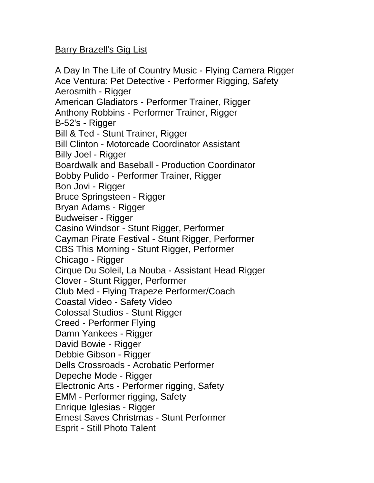## Barry Brazell's Gig List

A Day In The Life of Country Music - Flying Camera Rigger Ace Ventura: Pet Detective - Performer Rigging, Safety Aerosmith - Rigger American Gladiators - Performer Trainer, Rigger Anthony Robbins - Performer Trainer, Rigger B-52's - Rigger Bill & Ted - Stunt Trainer, Rigger Bill Clinton - Motorcade Coordinator Assistant Billy Joel - Rigger Boardwalk and Baseball - Production Coordinator Bobby Pulido - Performer Trainer, Rigger Bon Jovi - Rigger Bruce Springsteen - Rigger Bryan Adams - Rigger Budweiser - Rigger Casino Windsor - Stunt Rigger, Performer Cayman Pirate Festival - Stunt Rigger, Performer CBS This Morning - Stunt Rigger, Performer Chicago - Rigger Cirque Du Soleil, La Nouba - Assistant Head Rigger Clover - Stunt Rigger, Performer Club Med - Flying Trapeze Performer/Coach Coastal Video - Safety Video Colossal Studios - Stunt Rigger Creed - Performer Flying Damn Yankees - Rigger David Bowie - Rigger Debbie Gibson - Rigger Dells Crossroads - Acrobatic Performer Depeche Mode - Rigger Electronic Arts - Performer rigging, Safety EMM - Performer rigging, Safety Enrique Iglesias - Rigger Ernest Saves Christmas - Stunt Performer Esprit - Still Photo Talent